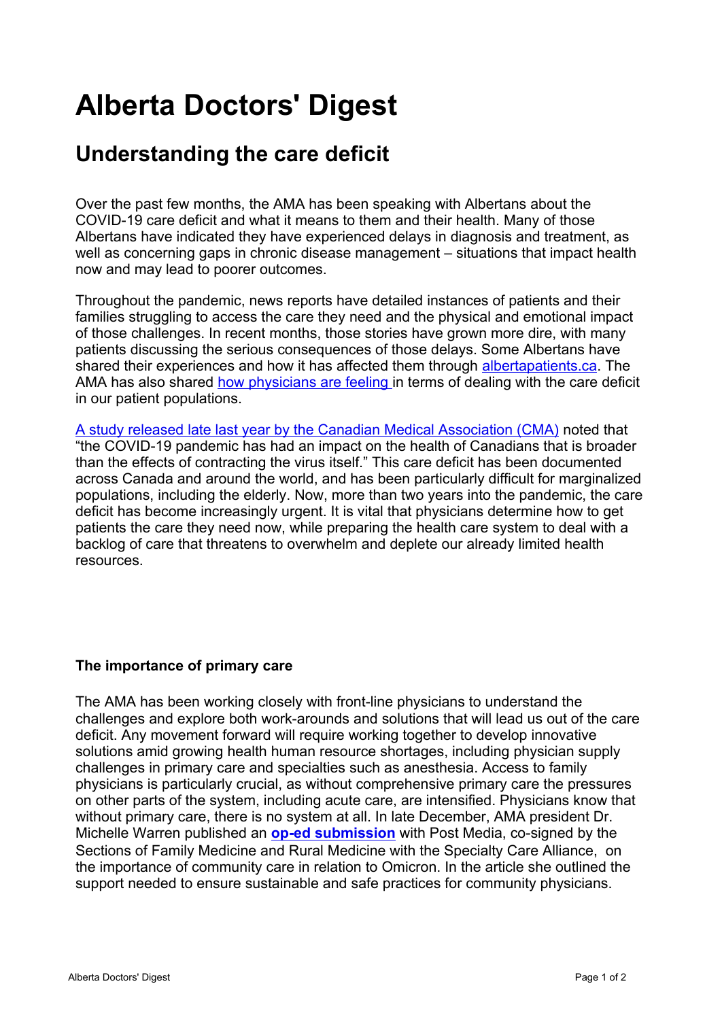## **Alberta Doctors' Digest**

## **[Understanding the care deficit](http://add.albertadoctors.org/issues/may-june-2022/understanding-care-deficit/)**

Over the past few months, the AMA has been speaking with Albertans about the COVID-19 care deficit and what it means to them and their health. Many of those Albertans have indicated they have experienced delays in diagnosis and treatment, as well as concerning gaps in chronic disease management – situations that impact health now and may lead to poorer outcomes.

Throughout the pandemic, news reports have detailed instances of patients and their families struggling to access the care they need and the physical and emotional impact of those challenges. In recent months, those stories have grown more dire, with many patients discussing the serious consequences of those delays. Some Albertans have shared their experiences and how it has affected them through [albertapatients.ca.](http://albertapatients.ca) The AMA has also shared [how physicians are feeling](https://www.albertadoctors.org/services/media-publications/presidents-letter/pl-archive/member-survey-results-urgent-omicron-meeting) in terms of dealing with the care deficit in our patient populations.

[A study released late last year by the Canadian Medical Association \(CMA\)](https://www.cma.ca/sites/default/files/pdf/health-advocacy/Deloitte-report-nov2021-EN.pdf) noted that "the COVID-19 pandemic has had an impact on the health of Canadians that is broader than the effects of contracting the virus itself." This care deficit has been documented across Canada and around the world, and has been particularly difficult for marginalized populations, including the elderly. Now, more than two years into the pandemic, the care deficit has become increasingly urgent. It is vital that physicians determine how to get patients the care they need now, while preparing the health care system to deal with a backlog of care that threatens to overwhelm and deplete our already limited health resources.

## **The importance of primary care**

The AMA has been working closely with front-line physicians to understand the challenges and explore both work-arounds and solutions that will lead us out of the care deficit. Any movement forward will require working together to develop innovative solutions amid growing health human resource shortages, including physician supply challenges in primary care and specialties such as anesthesia. Access to family physicians is particularly crucial, as without comprehensive primary care the pressures on other parts of the system, including acute care, are intensified. Physicians know that without primary care, there is no system at all. In late December, AMA president Dr. Michelle Warren published an **[op-ed submission](https://calgaryherald.com/opinion/editorials/opinion-community-care-is-key-to-helping-get-us-through-omicron)** with Post Media, co-signed by the Sections of Family Medicine and Rural Medicine with the Specialty Care Alliance, on the importance of community care in relation to Omicron. In the article she outlined the support needed to ensure sustainable and safe practices for community physicians.